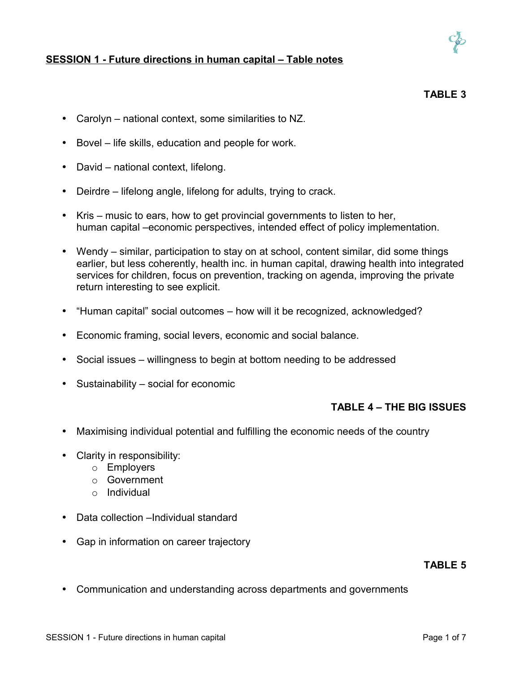

### **SESSION 1 - Future directions in human capital – Table notes**

### **TABLE 3**

- Carolyn national context, some similarities to NZ.
- Bovel life skills, education and people for work.
- David national context, lifelong.
- Deirdre lifelong angle, lifelong for adults, trying to crack.
- Kris music to ears, how to get provincial governments to listen to her, human capital –economic perspectives, intended effect of policy implementation.
- Wendy similar, participation to stay on at school, content similar, did some things earlier, but less coherently, health inc. in human capital, drawing health into integrated services for children, focus on prevention, tracking on agenda, improving the private return interesting to see explicit.
- "Human capital" social outcomes how will it be recognized, acknowledged?
- Economic framing, social levers, economic and social balance.
- Social issues willingness to begin at bottom needing to be addressed
- Sustainability social for economic

### **TABLE 4 – THE BIG ISSUES**

- Maximising individual potential and fulfilling the economic needs of the country
- Clarity in responsibility:
	- o Employers
	- o Government
	- o Individual
- Data collection –Individual standard
- Gap in information on career trajectory

#### **TABLE 5**

• Communication and understanding across departments and governments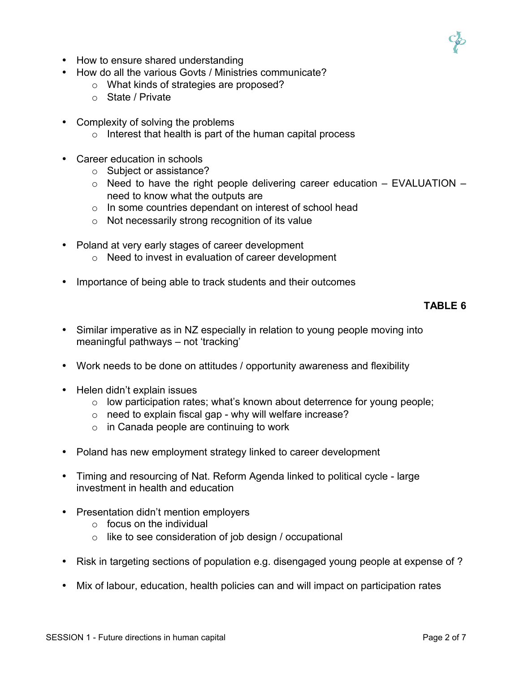

- How to ensure shared understanding
- How do all the various Govts / Ministries communicate?
	- o What kinds of strategies are proposed?
	- o State / Private
- Complexity of solving the problems
	- $\circ$  Interest that health is part of the human capital process
- Career education in schools
	- o Subject or assistance?
	- $\circ$  Need to have the right people delivering career education EVALUATION need to know what the outputs are
	- o In some countries dependant on interest of school head
	- o Not necessarily strong recognition of its value
- Poland at very early stages of career development
	- o Need to invest in evaluation of career development
- Importance of being able to track students and their outcomes

### **TABLE 6**

- Similar imperative as in NZ especially in relation to young people moving into meaningful pathways – not 'tracking'
- Work needs to be done on attitudes / opportunity awareness and flexibility
- Helen didn't explain issues
	- o low participation rates; what's known about deterrence for young people;
	- $\circ$  need to explain fiscal gap why will welfare increase?
	- $\circ$  in Canada people are continuing to work
- Poland has new employment strategy linked to career development
- Timing and resourcing of Nat. Reform Agenda linked to political cycle large investment in health and education
- Presentation didn't mention employers
	- $\circ$  focus on the individual
	- $\circ$  like to see consideration of job design / occupational
- Risk in targeting sections of population e.g. disengaged young people at expense of ?
- Mix of labour, education, health policies can and will impact on participation rates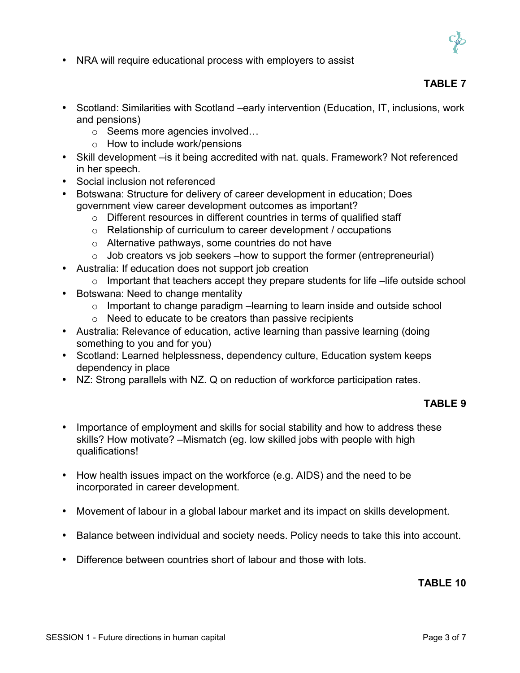

• NRA will require educational process with employers to assist

### **TABLE 7**

- Scotland: Similarities with Scotland –early intervention (Education, IT, inclusions, work and pensions)
	- o Seems more agencies involved…
	- o How to include work/pensions
- Skill development –is it being accredited with nat. quals. Framework? Not referenced in her speech.
- Social inclusion not referenced
- Botswana: Structure for delivery of career development in education; Does government view career development outcomes as important?
	- o Different resources in different countries in terms of qualified staff
	- o Relationship of curriculum to career development / occupations
	- o Alternative pathways, some countries do not have
	- $\circ$  Job creators vs job seekers –how to support the former (entrepreneurial)
- Australia: If education does not support job creation
	- o Important that teachers accept they prepare students for life –life outside school
- Botswana: Need to change mentality
	- o Important to change paradigm –learning to learn inside and outside school
	- o Need to educate to be creators than passive recipients
- Australia: Relevance of education, active learning than passive learning (doing something to you and for you)
- Scotland: Learned helplessness, dependency culture, Education system keeps dependency in place
- NZ: Strong parallels with NZ. Q on reduction of workforce participation rates.

### **TABLE 9**

- Importance of employment and skills for social stability and how to address these skills? How motivate? –Mismatch (eg. low skilled jobs with people with high qualifications!
- How health issues impact on the workforce (e.g. AIDS) and the need to be incorporated in career development.
- Movement of labour in a global labour market and its impact on skills development.
- Balance between individual and society needs. Policy needs to take this into account.
- Difference between countries short of labour and those with lots.

### **TABLE 10**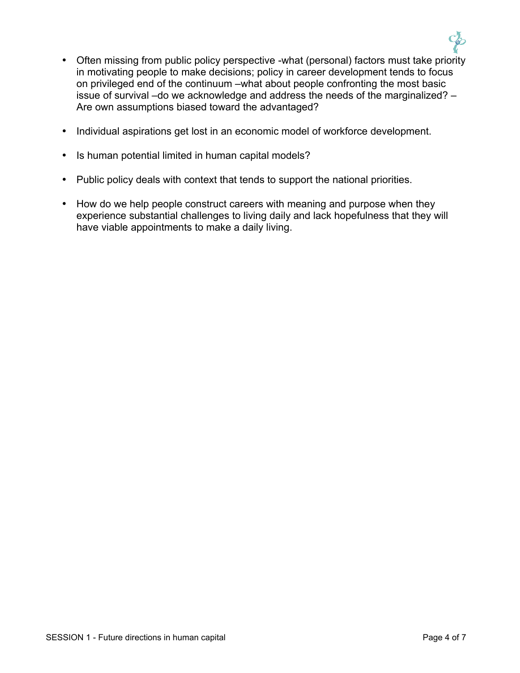

- Often missing from public policy perspective -what (personal) factors must take priority in motivating people to make decisions; policy in career development tends to focus on privileged end of the continuum –what about people confronting the most basic issue of survival –do we acknowledge and address the needs of the marginalized? – Are own assumptions biased toward the advantaged?
- Individual aspirations get lost in an economic model of workforce development.
- Is human potential limited in human capital models?
- Public policy deals with context that tends to support the national priorities.
- How do we help people construct careers with meaning and purpose when they experience substantial challenges to living daily and lack hopefulness that they will have viable appointments to make a daily living.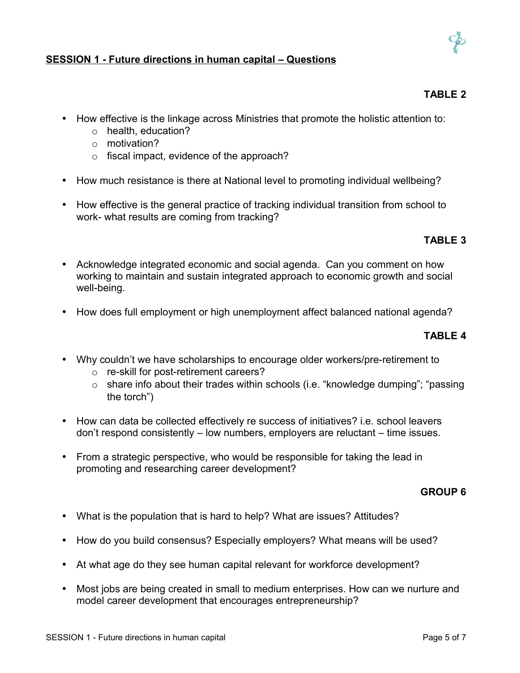## **SESSION 1 - Future directions in human capital – Questions**

- How effective is the linkage across Ministries that promote the holistic attention to:
	- o health, education?
	- o motivation?
	- o fiscal impact, evidence of the approach?
- How much resistance is there at National level to promoting individual wellbeing?
- How effective is the general practice of tracking individual transition from school to work- what results are coming from tracking?

# **TABLE 3**

- Acknowledge integrated economic and social agenda. Can you comment on how working to maintain and sustain integrated approach to economic growth and social well-being.
- How does full employment or high unemployment affect balanced national agenda?

### **TABLE 4**

- Why couldn't we have scholarships to encourage older workers/pre-retirement to
	- o re-skill for post-retirement careers?
	- o share info about their trades within schools (i.e. "knowledge dumping"; "passing the torch")
- How can data be collected effectively re success of initiatives? i.e. school leavers don't respond consistently – low numbers, employers are reluctant – time issues.
- From a strategic perspective, who would be responsible for taking the lead in promoting and researching career development?

### **GROUP 6**

- What is the population that is hard to help? What are issues? Attitudes?
- How do you build consensus? Especially employers? What means will be used?
- At what age do they see human capital relevant for workforce development?
- Most jobs are being created in small to medium enterprises. How can we nurture and model career development that encourages entrepreneurship?



**TABLE 2**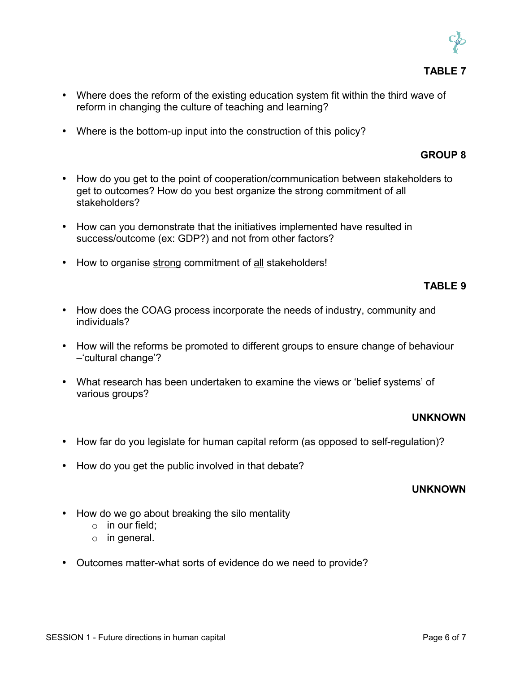

### **TABLE 7**

- Where does the reform of the existing education system fit within the third wave of reform in changing the culture of teaching and learning?
- Where is the bottom-up input into the construction of this policy?

### **GROUP 8**

- How do you get to the point of cooperation/communication between stakeholders to get to outcomes? How do you best organize the strong commitment of all stakeholders?
- How can you demonstrate that the initiatives implemented have resulted in success/outcome (ex: GDP?) and not from other factors?
- How to organise strong commitment of all stakeholders!

### **TABLE 9**

- How does the COAG process incorporate the needs of industry, community and individuals?
- How will the reforms be promoted to different groups to ensure change of behaviour –'cultural change'?
- What research has been undertaken to examine the views or 'belief systems' of various groups?

### **UNKNOWN**

- How far do you legislate for human capital reform (as opposed to self-regulation)?
- How do you get the public involved in that debate?

#### **UNKNOWN**

- How do we go about breaking the silo mentality
	- o in our field;
	- o in general.
- Outcomes matter-what sorts of evidence do we need to provide?